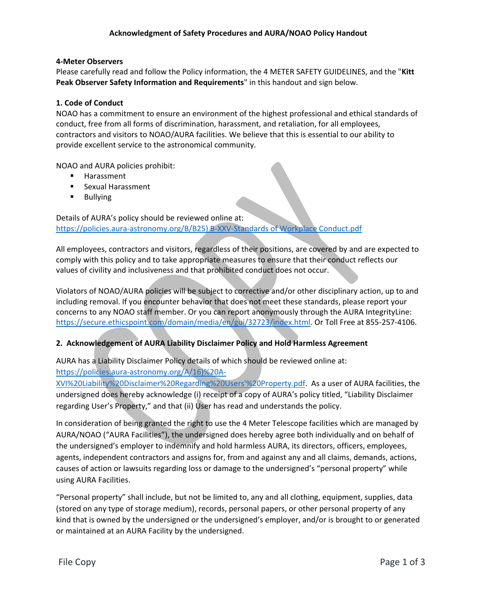#### **4-Meter Observers**

Please carefully read and follow the Policy information, the 4 METER SAFETY GUIDELINES, and the "**Kitt Peak Observer Safety Information and Requirements**" in this handout and sign below.

#### **1. Code of Conduct**

NOAO has a commitment to ensure an environment of the highest professional and ethical standards of conduct, free from all forms of discrimination, harassment, and retaliation, for all employees, contractors and visitors to NOAO/AURA facilities. We believe that this is essential to our ability to provide excellent service to the astronomical community.

NOAO and AURA policies prohibit:

- **Harassment**
- **Sexual Harassment**
- **Bullying**

Details of AURA's policy should be reviewed online at: [https://policies.aura-astronomy.org/B/B25\) B-XXV-Standards of Workplace Conduct.pdf](https://policies.aura-astronomy.org/B/B25)%20B-XXV-Standards%20of%20Workplace%20Conduct.pdf)

All employees, contractors and visitors, regardless of their positions, are covered by and are expected to comply with this policy and to take appropriate measures to ensure that their conduct reflects our values of civility and inclusiveness and that prohibited conduct does not occur.

Violators of NOAO/AURA policies will be subject to corrective and/or other disciplinary action, up to and including removal. If you encounter behavior that does not meet these standards, please report your concerns to any NOAO staff member. Or you can report anonymously through the AURA IntegrityLine: [https://secure.ethicspoint.com/domain/media/en/gui/32723/index.html.](https://secure.ethicspoint.com/domain/media/en/gui/32723/index.html) Or Toll Free at 855-257-4106.

## **2. Acknowledgement of AURA Liability Disclaimer Policy and Hold Harmless Agreement**

AURA has a Liability Disclaimer Policy details of which should be reviewed online at:

## [https://policies.aura-astronomy.org/A/16\)%20A-](https://policies.aura-astronomy.org/A/16)%20A-XVI%20Liability%20Disclaimer%20Regarding%20Users)

[XVI%20Liability%20Disclaimer%20Regarding%20Users'%20Property.pdf.](https://policies.aura-astronomy.org/A/16)%20A-XVI%20Liability%20Disclaimer%20Regarding%20Users) As a user of AURA facilities, the undersigned does hereby acknowledge (i) receipt of a copy of AURA's policy titled, "Liability Disclaimer regarding User's Property," and that (ii) User has read and understands the policy.

In consideration of being granted the right to use the 4 Meter Telescope facilities which are managed by AURA/NOAO ("AURA Facilities"), the undersigned does hereby agree both individually and on behalf of the undersigned's employer to indemnify and hold harmless AURA, its directors, officers, employees, agents, independent contractors and assigns for, from and against any and all claims, demands, actions, causes of action or lawsuits regarding loss or damage to the undersigned's "personal property" while using AURA Facilities.

"Personal property" shall include, but not be limited to, any and all clothing, equipment, supplies, data (stored on any type of storage medium), records, personal papers, or other personal property of any kind that is owned by the undersigned or the undersigned's employer, and/or is brought to or generated or maintained at an AURA Facility by the undersigned.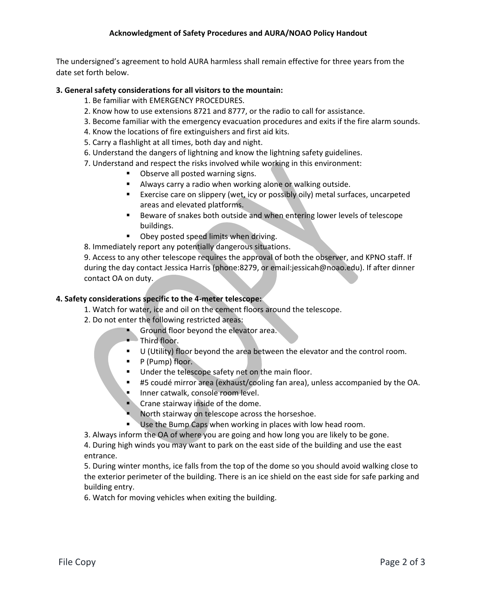The undersigned's agreement to hold AURA harmless shall remain effective for three years from the date set forth below.

# **3. General safety considerations for all visitors to the mountain:**

- 1. Be familiar with EMERGENCY PROCEDURES.
- 2. Know how to use extensions 8721 and 8777, or the radio to call for assistance.
- 3. Become familiar with the emergency evacuation procedures and exits if the fire alarm sounds.
- 4. Know the locations of fire extinguishers and first aid kits.
- 5. Carry a flashlight at all times, both day and night.
- 6. Understand the dangers of lightning and know the lightning safety guidelines.
- 7. Understand and respect the risks involved while working in this environment:
	- Observe all posted warning signs.
	- Always carry a radio when working alone or walking outside.
	- **Exercise care on slippery (wet, icy or possibly oily) metal surfaces, uncarpeted** areas and elevated platforms.
	- Beware of snakes both outside and when entering lower levels of telescope buildings.
	- Obey posted speed limits when driving.

8. Immediately report any potentially dangerous situations.

9. Access to any other telescope requires the approval of both the observer, and KPNO staff. If during the day contact Jessica Harris (phone:8279, or email:jessicah@noao.edu). If after dinner contact OA on duty.

## **4. Safety considerations specific to the 4-meter telescope:**

- 1. Watch for water, ice and oil on the cement floors around the telescope.
- 2. Do not enter the following restricted areas:
	- Ground floor beyond the elevator area.
		- Third floor.
		- U (Utility) floor beyond the area between the elevator and the control room.
		- $\blacksquare$  P (Pump) floor.
		- Under the telescope safety net on the main floor.
		- #5 coudé mirror area (exhaust/cooling fan area), unless accompanied by the OA.
		- Inner catwalk, console room level.
		- **Crane stairway inside of the dome.**
		- North stairway on telescope across the horseshoe.
		- Use the Bump Caps when working in places with low head room.
- 3. Always inform the OA of where you are going and how long you are likely to be gone.

4. During high winds you may want to park on the east side of the building and use the east entrance.

5. During winter months, ice falls from the top of the dome so you should avoid walking close to the exterior perimeter of the building. There is an ice shield on the east side for safe parking and building entry.

6. Watch for moving vehicles when exiting the building.